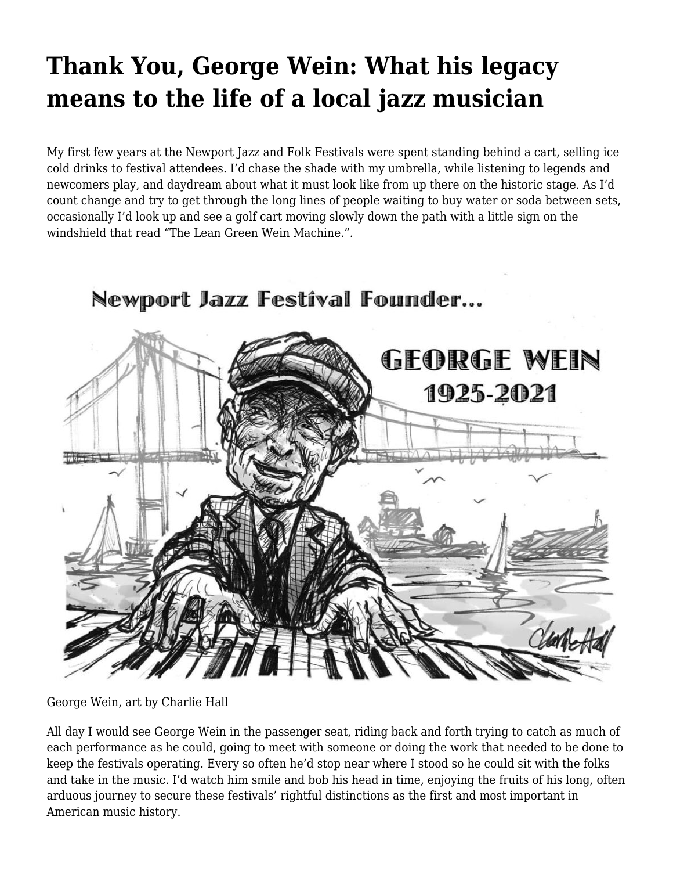## **[Thank You, George Wein: What his legacy](https://motifri.com/thank-you-george-wein-what-his-legacy-means-to-the-life-of-a-local-jazz-musician/) [means to the life of a local jazz musician](https://motifri.com/thank-you-george-wein-what-his-legacy-means-to-the-life-of-a-local-jazz-musician/)**

My first few years at the Newport Jazz and Folk Festivals were spent standing behind a cart, selling ice cold drinks to festival attendees. I'd chase the shade with my umbrella, while listening to legends and newcomers play, and daydream about what it must look like from up there on the historic stage. As I'd count change and try to get through the long lines of people waiting to buy water or soda between sets, occasionally I'd look up and see a golf cart moving slowly down the path with a little sign on the windshield that read "The Lean Green Wein Machine.".



Newport Jazz Festíval Founder...

George Wein, art by Charlie Hall

All day I would see George Wein in the passenger seat, riding back and forth trying to catch as much of each performance as he could, going to meet with someone or doing the work that needed to be done to keep the festivals operating. Every so often he'd stop near where I stood so he could sit with the folks and take in the music. I'd watch him smile and bob his head in time, enjoying the fruits of his long, often arduous journey to secure these festivals' rightful distinctions as the first and most important in American music history.